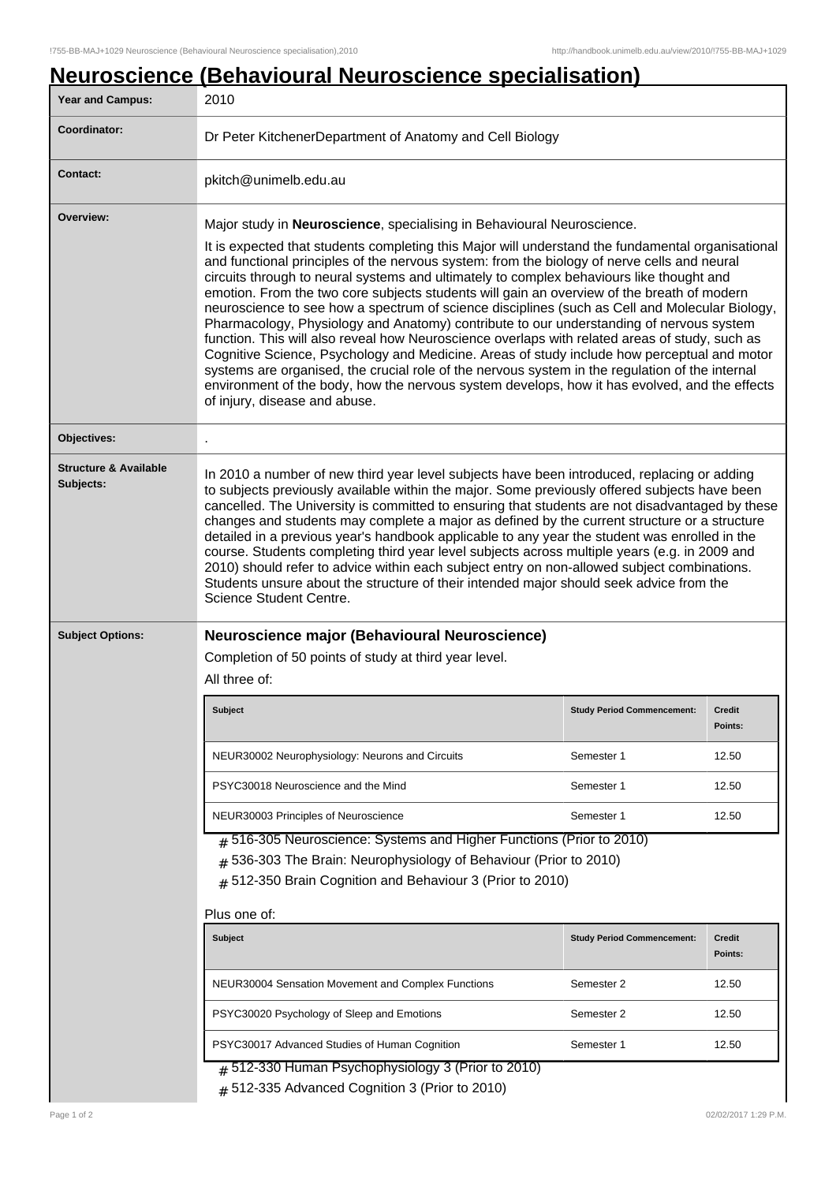## **Neuroscience (Behavioural Neuroscience specialisation)**

| <b>Year and Campus:</b>                                      | 2010                                                                                                                                                                                                                                                                                                                                                                                                                                                                                                                                                                                                                                                                                                                                                                                                                                                                                                                                                                                                                                                                   |                                   |                          |
|--------------------------------------------------------------|------------------------------------------------------------------------------------------------------------------------------------------------------------------------------------------------------------------------------------------------------------------------------------------------------------------------------------------------------------------------------------------------------------------------------------------------------------------------------------------------------------------------------------------------------------------------------------------------------------------------------------------------------------------------------------------------------------------------------------------------------------------------------------------------------------------------------------------------------------------------------------------------------------------------------------------------------------------------------------------------------------------------------------------------------------------------|-----------------------------------|--------------------------|
| Coordinator:                                                 | Dr Peter KitchenerDepartment of Anatomy and Cell Biology                                                                                                                                                                                                                                                                                                                                                                                                                                                                                                                                                                                                                                                                                                                                                                                                                                                                                                                                                                                                               |                                   |                          |
| <b>Contact:</b>                                              | pkitch@unimelb.edu.au                                                                                                                                                                                                                                                                                                                                                                                                                                                                                                                                                                                                                                                                                                                                                                                                                                                                                                                                                                                                                                                  |                                   |                          |
| Overview:                                                    | Major study in Neuroscience, specialising in Behavioural Neuroscience.<br>It is expected that students completing this Major will understand the fundamental organisational<br>and functional principles of the nervous system: from the biology of nerve cells and neural<br>circuits through to neural systems and ultimately to complex behaviours like thought and<br>emotion. From the two core subjects students will gain an overview of the breath of modern<br>neuroscience to see how a spectrum of science disciplines (such as Cell and Molecular Biology,<br>Pharmacology, Physiology and Anatomy) contribute to our understanding of nervous system<br>function. This will also reveal how Neuroscience overlaps with related areas of study, such as<br>Cognitive Science, Psychology and Medicine. Areas of study include how perceptual and motor<br>systems are organised, the crucial role of the nervous system in the regulation of the internal<br>environment of the body, how the nervous system develops, how it has evolved, and the effects |                                   |                          |
|                                                              | of injury, disease and abuse.                                                                                                                                                                                                                                                                                                                                                                                                                                                                                                                                                                                                                                                                                                                                                                                                                                                                                                                                                                                                                                          |                                   |                          |
| Objectives:<br><b>Structure &amp; Available</b><br>Subjects: | In 2010 a number of new third year level subjects have been introduced, replacing or adding<br>to subjects previously available within the major. Some previously offered subjects have been<br>cancelled. The University is committed to ensuring that students are not disadvantaged by these                                                                                                                                                                                                                                                                                                                                                                                                                                                                                                                                                                                                                                                                                                                                                                        |                                   |                          |
|                                                              | changes and students may complete a major as defined by the current structure or a structure<br>detailed in a previous year's handbook applicable to any year the student was enrolled in the<br>course. Students completing third year level subjects across multiple years (e.g. in 2009 and<br>2010) should refer to advice within each subject entry on non-allowed subject combinations.<br>Students unsure about the structure of their intended major should seek advice from the<br>Science Student Centre.                                                                                                                                                                                                                                                                                                                                                                                                                                                                                                                                                    |                                   |                          |
| <b>Subject Options:</b>                                      | Neuroscience major (Behavioural Neuroscience)                                                                                                                                                                                                                                                                                                                                                                                                                                                                                                                                                                                                                                                                                                                                                                                                                                                                                                                                                                                                                          |                                   |                          |
|                                                              | Completion of 50 points of study at third year level.<br>All three of:                                                                                                                                                                                                                                                                                                                                                                                                                                                                                                                                                                                                                                                                                                                                                                                                                                                                                                                                                                                                 |                                   |                          |
|                                                              | <b>Subject</b>                                                                                                                                                                                                                                                                                                                                                                                                                                                                                                                                                                                                                                                                                                                                                                                                                                                                                                                                                                                                                                                         | <b>Study Period Commencement:</b> | <b>Credit</b><br>Points: |
|                                                              | NEUR30002 Neurophysiology: Neurons and Circuits                                                                                                                                                                                                                                                                                                                                                                                                                                                                                                                                                                                                                                                                                                                                                                                                                                                                                                                                                                                                                        | Semester 1                        | 12.50                    |
|                                                              | PSYC30018 Neuroscience and the Mind                                                                                                                                                                                                                                                                                                                                                                                                                                                                                                                                                                                                                                                                                                                                                                                                                                                                                                                                                                                                                                    | Semester 1                        | 12.50                    |
|                                                              | NEUR30003 Principles of Neuroscience                                                                                                                                                                                                                                                                                                                                                                                                                                                                                                                                                                                                                                                                                                                                                                                                                                                                                                                                                                                                                                   | Semester 1                        | 12.50                    |
|                                                              | $#$ 516-305 Neuroscience: Systems and Higher Functions (Prior to 2010)<br># 536-303 The Brain: Neurophysiology of Behaviour (Prior to 2010)<br># 512-350 Brain Cognition and Behaviour 3 (Prior to 2010)                                                                                                                                                                                                                                                                                                                                                                                                                                                                                                                                                                                                                                                                                                                                                                                                                                                               |                                   |                          |
|                                                              | Plus one of:<br><b>Subject</b>                                                                                                                                                                                                                                                                                                                                                                                                                                                                                                                                                                                                                                                                                                                                                                                                                                                                                                                                                                                                                                         | <b>Study Period Commencement:</b> | Credit                   |
|                                                              |                                                                                                                                                                                                                                                                                                                                                                                                                                                                                                                                                                                                                                                                                                                                                                                                                                                                                                                                                                                                                                                                        |                                   | Points:                  |
|                                                              | NEUR30004 Sensation Movement and Complex Functions                                                                                                                                                                                                                                                                                                                                                                                                                                                                                                                                                                                                                                                                                                                                                                                                                                                                                                                                                                                                                     | Semester 2                        | 12.50                    |
|                                                              | PSYC30020 Psychology of Sleep and Emotions                                                                                                                                                                                                                                                                                                                                                                                                                                                                                                                                                                                                                                                                                                                                                                                                                                                                                                                                                                                                                             | Semester 2                        | 12.50                    |
|                                                              | PSYC30017 Advanced Studies of Human Cognition                                                                                                                                                                                                                                                                                                                                                                                                                                                                                                                                                                                                                                                                                                                                                                                                                                                                                                                                                                                                                          | Semester 1                        | 12.50                    |
|                                                              | $#$ 512-330 Human Psychophysiology 3 (Prior to 2010)<br>$#$ 512-335 Advanced Cognition 3 (Prior to 2010)                                                                                                                                                                                                                                                                                                                                                                                                                                                                                                                                                                                                                                                                                                                                                                                                                                                                                                                                                               |                                   |                          |